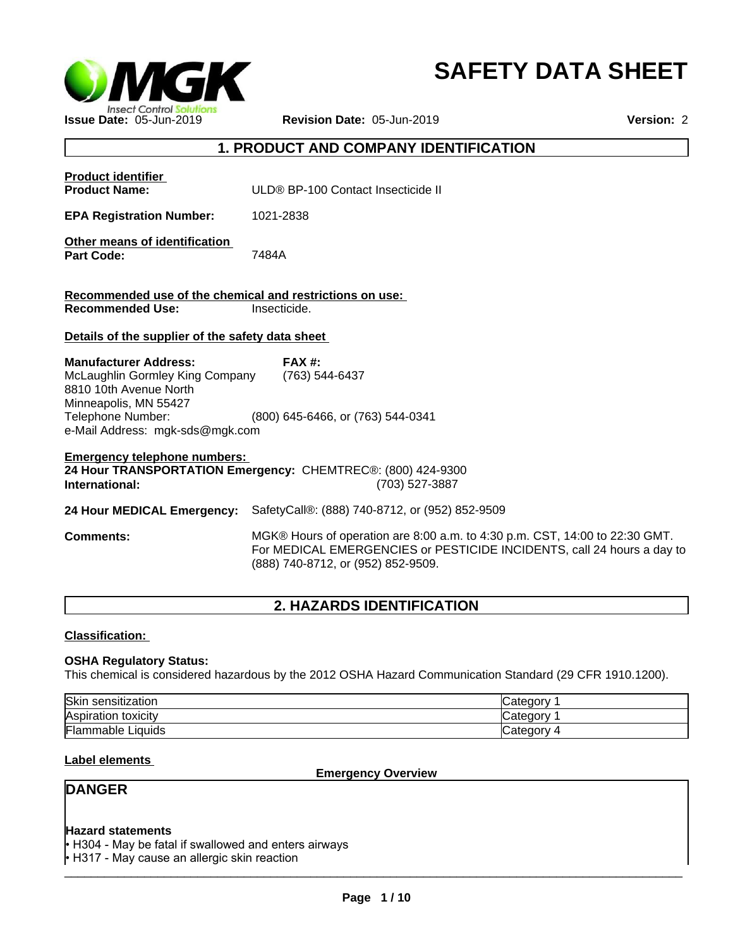

# **SAFETY DATA SHEET**

# **1. PRODUCT AND COMPANY IDENTIFICATION**

| <b>Product identifier</b><br><b>Product Name:</b>                                                                                                                          | ULD® BP-100 Contact Insecticide II                                                                                                                                                          |
|----------------------------------------------------------------------------------------------------------------------------------------------------------------------------|---------------------------------------------------------------------------------------------------------------------------------------------------------------------------------------------|
| <b>EPA Registration Number:</b>                                                                                                                                            | 1021-2838                                                                                                                                                                                   |
| Other means of identification<br><b>Part Code:</b>                                                                                                                         | 7484A                                                                                                                                                                                       |
| Recommended use of the chemical and restrictions on use:<br><b>Recommended Use:</b>                                                                                        | Insecticide.                                                                                                                                                                                |
| Details of the supplier of the safety data sheet                                                                                                                           |                                                                                                                                                                                             |
| <b>Manufacturer Address:</b><br>McLaughlin Gormley King Company<br>8810 10th Avenue North<br>Minneapolis, MN 55427<br>Telephone Number:<br>e-Mail Address: mgk-sds@mgk.com | <b>FAX#:</b><br>(763) 544-6437<br>(800) 645-6466, or (763) 544-0341                                                                                                                         |
| <b>Emergency telephone numbers:</b><br>International:                                                                                                                      | 24 Hour TRANSPORTATION Emergency: CHEMTREC®: (800) 424-9300<br>(703) 527-3887                                                                                                               |
| 24 Hour MEDICAL Emergency:                                                                                                                                                 | SafetyCall®: (888) 740-8712, or (952) 852-9509                                                                                                                                              |
| <b>Comments:</b>                                                                                                                                                           | MGK® Hours of operation are 8:00 a.m. to 4:30 p.m. CST, 14:00 to 22:30 GMT.<br>For MEDICAL EMERGENCIES or PESTICIDE INCIDENTS, call 24 hours a day to<br>(888) 740-8712, or (952) 852-9509. |
|                                                                                                                                                                            |                                                                                                                                                                                             |

# **2. HAZARDS IDENTIFICATION**

**Classification:** 

# **OSHA Regulatory Status:**

This chemical is considered hazardous by the 2012 OSHA Hazard Communication Standard (29 CFR 1910.1200).

| Skin<br>sensitization | ″ ategory. |
|-----------------------|------------|
| Aspiration toxicity   | ∵ategorv.  |
| Flammable<br>Liquids  | ″ ategory۔ |

# **Label elements**

**Emergency Overview**

# **DANGER**

### **Hazard statements**

 $\overline{\phantom{a}}$  ,  $\overline{\phantom{a}}$  ,  $\overline{\phantom{a}}$  ,  $\overline{\phantom{a}}$  ,  $\overline{\phantom{a}}$  ,  $\overline{\phantom{a}}$  ,  $\overline{\phantom{a}}$  ,  $\overline{\phantom{a}}$  ,  $\overline{\phantom{a}}$  ,  $\overline{\phantom{a}}$  ,  $\overline{\phantom{a}}$  ,  $\overline{\phantom{a}}$  ,  $\overline{\phantom{a}}$  ,  $\overline{\phantom{a}}$  ,  $\overline{\phantom{a}}$  ,  $\overline{\phantom{a}}$ • H304 - May be fatal if swallowed and enters airways • H317 - May cause an allergic skin reaction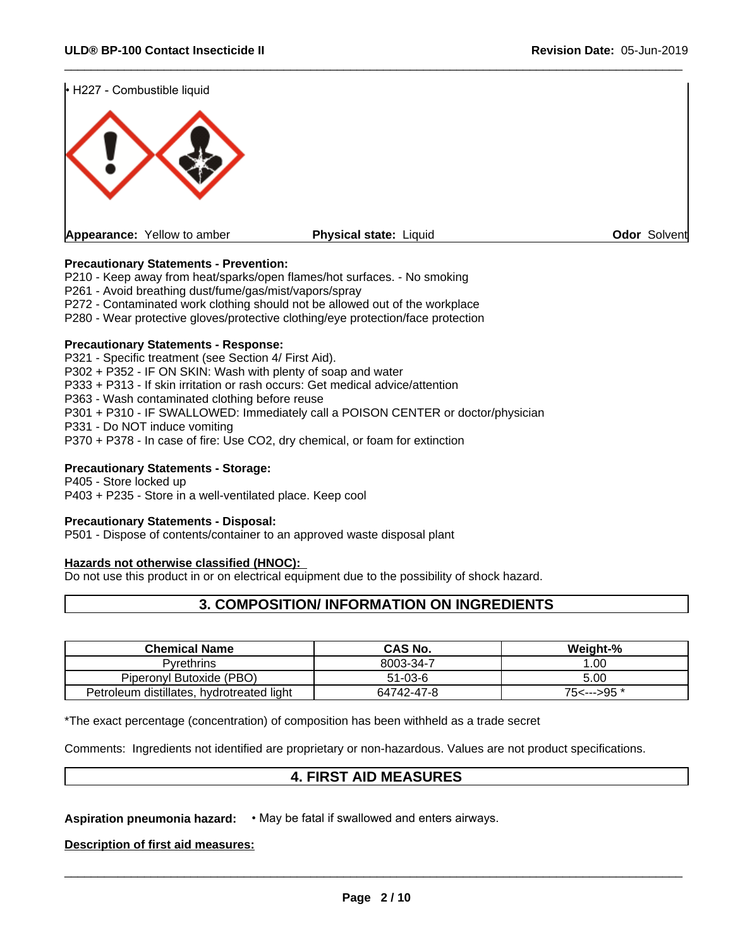

### **Precautionary Statements - Prevention:**

P210 - Keep away from heat/sparks/open flames/hot surfaces. - No smoking

P261 - Avoid breathing dust/fume/gas/mist/vapors/spray

P272 - Contaminated work clothing should not be allowed out of the workplace

P280 - Wear protective gloves/protective clothing/eye protection/face protection

#### **Precautionary Statements - Response:**

P321 - Specific treatment (see Section 4/ First Aid). P302 + P352 - IF ON SKIN: Wash with plenty of soap and water P333 + P313 - If skin irritation or rash occurs: Get medical advice/attention P363 - Wash contaminated clothing before reuse P301 + P310 - IF SWALLOWED: Immediately call a POISON CENTER or doctor/physician P331 - Do NOT induce vomiting P370 + P378 - In case of fire: Use CO2, dry chemical, or foam for extinction

#### **Precautionary Statements - Storage:**

P405 - Store locked up P403 + P235 - Store in a well-ventilated place. Keep cool

#### **Precautionary Statements - Disposal:**

P501 - Dispose of contents/container to an approved waste disposal plant

#### **Hazards not otherwise classified (HNOC):**

Do not use this product in or on electrical equipment due to the possibility of shock hazard.

# **3. COMPOSITION/ INFORMATION ON INGREDIENTS**

| <b>Chemical Name</b>                      | <b>CAS No.</b> | Weight-%    |
|-------------------------------------------|----------------|-------------|
| <b>Pyrethrins</b>                         | 8003-34-7      | .00         |
| Piperonyl Butoxide (PBO)                  | 51-03-6        | 5.00        |
| Petroleum distillates, hydrotreated light | 64742-47-8     | 75<--->95 * |

\*The exact percentage (concentration) of composition has been withheld as a trade secret

Comments: Ingredients not identified are proprietary or non-hazardous. Values are not product specifications.

# **4. FIRST AID MEASURES**

**Aspiration pneumonia hazard: • May be fatal if swallowed and enters airways.** 

**Description of first aid measures:**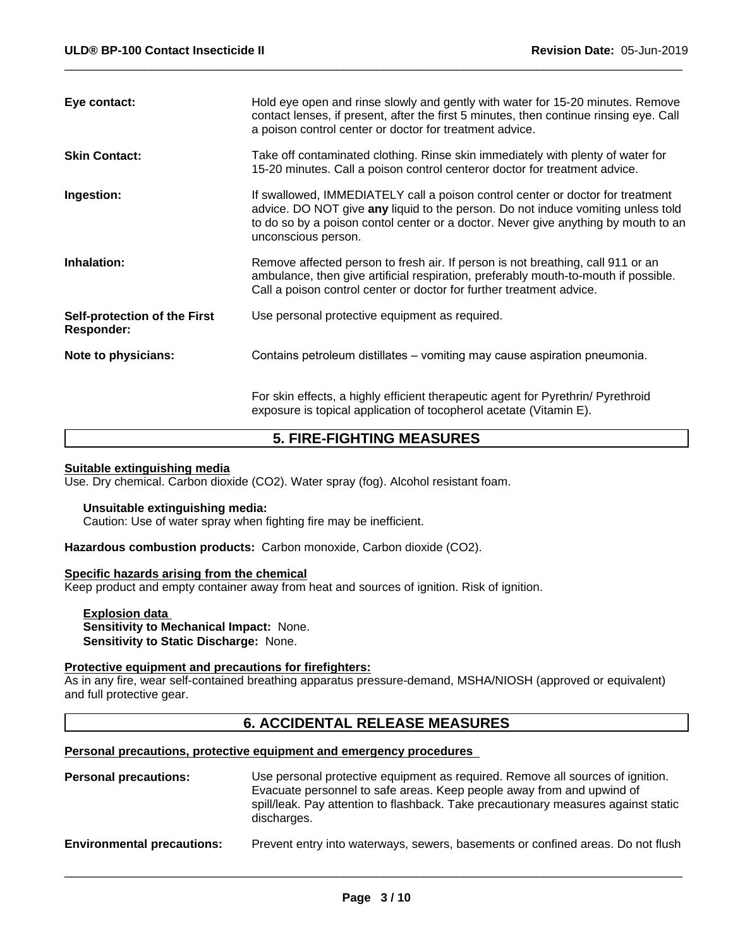| Eye contact:                                      | Hold eye open and rinse slowly and gently with water for 15-20 minutes. Remove<br>contact lenses, if present, after the first 5 minutes, then continue rinsing eye. Call<br>a poison control center or doctor for treatment advice.                                             |
|---------------------------------------------------|---------------------------------------------------------------------------------------------------------------------------------------------------------------------------------------------------------------------------------------------------------------------------------|
| <b>Skin Contact:</b>                              | Take off contaminated clothing. Rinse skin immediately with plenty of water for<br>15-20 minutes. Call a poison control centeror doctor for treatment advice.                                                                                                                   |
| Ingestion:                                        | If swallowed, IMMEDIATELY call a poison control center or doctor for treatment<br>advice. DO NOT give any liquid to the person. Do not induce vomiting unless told<br>to do so by a poison contol center or a doctor. Never give anything by mouth to an<br>unconscious person. |
| Inhalation:                                       | Remove affected person to fresh air. If person is not breathing, call 911 or an<br>ambulance, then give artificial respiration, preferably mouth-to-mouth if possible.<br>Call a poison control center or doctor for further treatment advice.                                  |
| Self-protection of the First<br><b>Responder:</b> | Use personal protective equipment as required.                                                                                                                                                                                                                                  |
| Note to physicians:                               | Contains petroleum distillates – vomiting may cause aspiration pneumonia.                                                                                                                                                                                                       |
|                                                   | For skin effects, a highly efficient therapeutic agent for Pyrethrin/ Pyrethroid<br>exposure is topical application of tocopherol acetate (Vitamin E).                                                                                                                          |

# **5. FIRE-FIGHTING MEASURES**

#### **Suitable extinguishing media**

Use. Dry chemical. Carbon dioxide (CO2). Water spray (fog). Alcohol resistant foam.

#### **Unsuitable extinguishing media:**

Caution: Use of water spray when fighting fire may be inefficient.

**Hazardous combustion products:** Carbon monoxide, Carbon dioxide (CO2).

### **Specific hazards arising from the chemical**

Keep product and empty container away from heat and sources of ignition. Risk of ignition.

**Explosion data Sensitivity to Mechanical Impact:** None. **Sensitivity to Static Discharge:** None.

### **Protective equipment and precautions for firefighters:**

As in any fire, wear self-contained breathing apparatus pressure-demand, MSHA/NIOSH (approved or equivalent) and full protective gear.

# **6. ACCIDENTAL RELEASE MEASURES**

#### **Personal precautions, protective equipment and emergency procedures**

| <b>Personal precautions:</b>      | Use personal protective equipment as required. Remove all sources of ignition.<br>Evacuate personnel to safe areas. Keep people away from and upwind of<br>spill/leak. Pay attention to flashback. Take precautionary measures against static<br>discharges. |
|-----------------------------------|--------------------------------------------------------------------------------------------------------------------------------------------------------------------------------------------------------------------------------------------------------------|
| <b>Environmental precautions:</b> | Prevent entry into waterways, sewers, basements or confined areas. Do not flush                                                                                                                                                                              |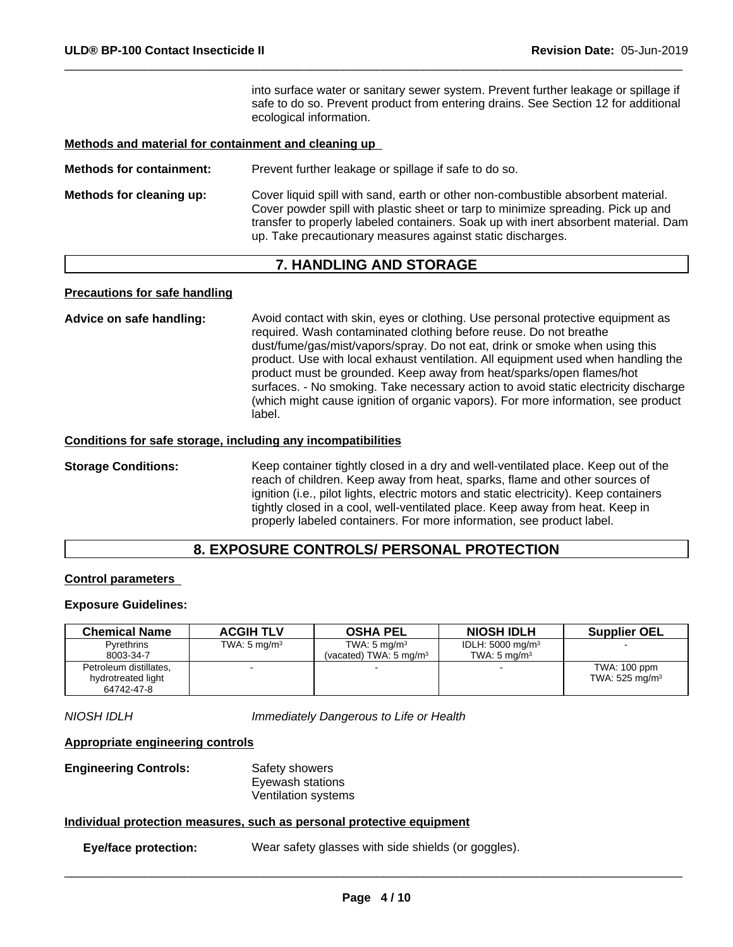into surface water or sanitary sewer system. Prevent further leakage or spillage if safe to do so. Prevent product from entering drains. See Section 12 for additional ecological information.

#### **Methods and material for containment and cleaning up**

**Methods for containment:** Prevent further leakage or spillage if safe to do so. **Methods for cleaning up:** Cover liquid spill with sand, earth or other non-combustible absorbent material. Cover powder spill with plastic sheet or tarp to minimize spreading. Pick up and transfer to properly labeled containers. Soak up with inert absorbent material. Dam up. Take precautionary measures against static discharges.

# **7. HANDLING AND STORAGE**

#### **Precautions for safe handling**

**Advice on safe handling:** Avoid contact with skin, eyes or clothing. Use personal protective equipment as required. Wash contaminated clothing before reuse. Do not breathe dust/fume/gas/mist/vapors/spray. Do not eat, drink or smoke when using this product. Use with local exhaust ventilation. All equipment used when handling the product must be grounded. Keep away from heat/sparks/open flames/hot surfaces. - No smoking. Take necessary action to avoid static electricity discharge (which might cause ignition of organic vapors). For more information, see product label.

#### **Conditions for safe storage, including any incompatibilities**

**Storage Conditions:** Keep container tightly closed in a dry and well-ventilated place. Keep out of the reach of children. Keep away from heat, sparks, flame and other sources of ignition (i.e., pilot lights, electric motors and static electricity). Keep containers tightly closed in a cool, well-ventilated place. Keep away from heat. Keep in properly labeled containers. For more information, see product label.

# **8. EXPOSURE CONTROLS/ PERSONAL PROTECTION**

## **Control parameters**

#### **Exposure Guidelines:**

| <b>Chemical Name</b>   | <b>ACGIH TLV</b>        | <b>OSHA PEL</b>                    | <b>NIOSH IDLH</b>           | <b>Supplier OEL</b>          |
|------------------------|-------------------------|------------------------------------|-----------------------------|------------------------------|
| <b>Pyrethrins</b>      | TWA: $5 \text{ mg/m}^3$ | TWA: $5 \text{ mg/m}^3$            | IDLH: $5000 \text{ mg/m}^3$ |                              |
| 8003-34-7              |                         | (vacated) TWA: 5 mg/m <sup>3</sup> | TWA: $5 \text{ ma/m}^3$     |                              |
| Petroleum distillates, |                         |                                    |                             | TWA: 100 ppm                 |
| hydrotreated light     |                         |                                    |                             | TWA: $525$ mg/m <sup>3</sup> |
| 64742-47-8             |                         |                                    |                             |                              |

*NIOSH IDLH Immediately Dangerous to Life or Health*

#### **Appropriate engineering controls**

**Engineering Controls:** Safety showers Eyewash stations Ventilation systems

#### **Individual protection measures, such as personal protective equipment**

**Eye/face protection:** Wear safety glasses with side shields (or goggles).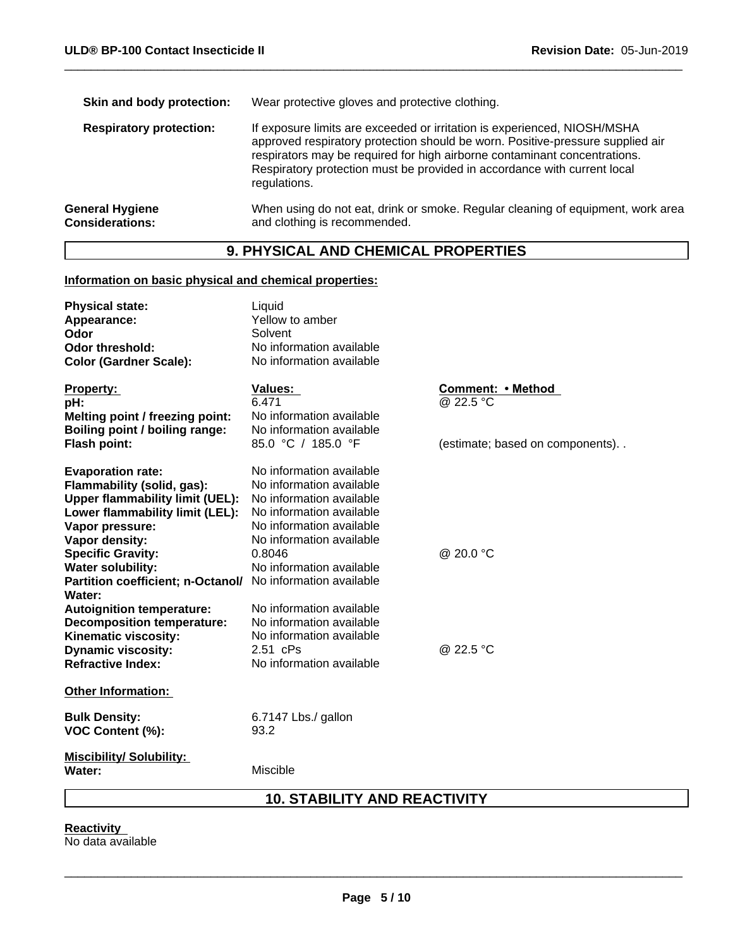| Skin and body protection:                        | Wear protective gloves and protective clothing.                                                                                                                                                                                                                                                                                     |
|--------------------------------------------------|-------------------------------------------------------------------------------------------------------------------------------------------------------------------------------------------------------------------------------------------------------------------------------------------------------------------------------------|
| <b>Respiratory protection:</b>                   | If exposure limits are exceeded or irritation is experienced, NIOSH/MSHA<br>approved respiratory protection should be worn. Positive-pressure supplied air<br>respirators may be required for high airborne contaminant concentrations.<br>Respiratory protection must be provided in accordance with current local<br>regulations. |
| <b>General Hygiene</b><br><b>Considerations:</b> | When using do not eat, drink or smoke. Regular cleaning of equipment, work area<br>and clothing is recommended.                                                                                                                                                                                                                     |
|                                                  |                                                                                                                                                                                                                                                                                                                                     |

# **9. PHYSICAL AND CHEMICAL PROPERTIES**

### **Information on basic physical and chemical properties:**

| <b>Physical state:</b>                                               | Liquid                   |                                    |
|----------------------------------------------------------------------|--------------------------|------------------------------------|
| Appearance:                                                          | Yellow to amber          |                                    |
| Odor                                                                 | Solvent                  |                                    |
| <b>Odor threshold:</b>                                               | No information available |                                    |
| <b>Color (Gardner Scale):</b>                                        | No information available |                                    |
| Property:                                                            | <b>Values:</b>           | Comment: • Method                  |
| pH:                                                                  | 6.471                    | @ 22.5 °C                          |
| Melting point / freezing point:                                      | No information available |                                    |
| Boiling point / boiling range:                                       | No information available |                                    |
| Flash point:                                                         | 85.0 °C / 185.0 °F       | (estimate; based on components). . |
| <b>Evaporation rate:</b>                                             | No information available |                                    |
| Flammability (solid, gas):                                           | No information available |                                    |
| <b>Upper flammability limit (UEL):</b>                               | No information available |                                    |
| Lower flammability limit (LEL):                                      | No information available |                                    |
| Vapor pressure:                                                      | No information available |                                    |
| Vapor density:                                                       | No information available |                                    |
| <b>Specific Gravity:</b>                                             | 0.8046                   | @ 20.0 °C                          |
| <b>Water solubility:</b>                                             | No information available |                                    |
| Partition coefficient; n-Octanol/ No information available<br>Water: |                          |                                    |
| <b>Autoignition temperature:</b>                                     | No information available |                                    |
| <b>Decomposition temperature:</b>                                    | No information available |                                    |
| Kinematic viscosity:                                                 | No information available |                                    |
| <b>Dynamic viscosity:</b>                                            | 2.51 cPs                 | @ 22.5 °C                          |
| <b>Refractive Index:</b>                                             | No information available |                                    |
| <b>Other Information:</b>                                            |                          |                                    |
| <b>Bulk Density:</b>                                                 | 6.7147 Lbs./ gallon      |                                    |
| <b>VOC Content (%):</b>                                              | 93.2                     |                                    |
| <b>Miscibility/ Solubility:</b>                                      |                          |                                    |
| Water:                                                               | Miscible                 |                                    |
|                                                                      |                          |                                    |

# **10. STABILITY AND REACTIVITY**

**Reactivity**  No data available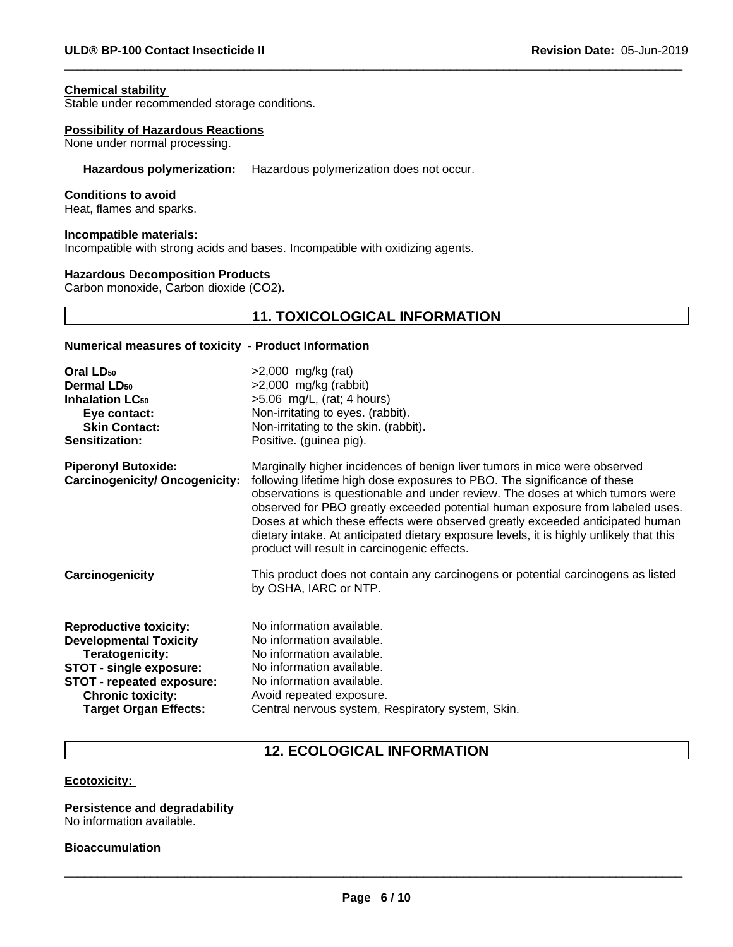#### **Chemical stability**

Stable under recommended storage conditions.

#### **Possibility of Hazardous Reactions**

None under normal processing.

### **Hazardous polymerization:** Hazardous polymerization does not occur.

#### **Conditions to avoid**

Heat, flames and sparks.

#### **Incompatible materials:**

Incompatible with strong acids and bases. Incompatible with oxidizing agents.

### **Hazardous Decomposition Products**

Carbon monoxide, Carbon dioxide (CO2).

# **11. TOXICOLOGICAL INFORMATION**

#### **Numerical measures of toxicity - Product Information**

| $>2,000$ mg/kg (rat)<br>$>2,000$ mg/kg (rabbit)<br>>5.06 mg/L, (rat; 4 hours)<br>Non-irritating to eyes. (rabbit).<br>Non-irritating to the skin. (rabbit).<br>Positive. (guinea pig).                                                                                                                                                                                                                                                                                                                                                              |
|-----------------------------------------------------------------------------------------------------------------------------------------------------------------------------------------------------------------------------------------------------------------------------------------------------------------------------------------------------------------------------------------------------------------------------------------------------------------------------------------------------------------------------------------------------|
| Marginally higher incidences of benign liver tumors in mice were observed<br>following lifetime high dose exposures to PBO. The significance of these<br>observations is questionable and under review. The doses at which tumors were<br>observed for PBO greatly exceeded potential human exposure from labeled uses.<br>Doses at which these effects were observed greatly exceeded anticipated human<br>dietary intake. At anticipated dietary exposure levels, it is highly unlikely that this<br>product will result in carcinogenic effects. |
| This product does not contain any carcinogens or potential carcinogens as listed<br>by OSHA, IARC or NTP.                                                                                                                                                                                                                                                                                                                                                                                                                                           |
| No information available.<br>No information available.<br>No information available.<br>No information available.<br>No information available.<br>Avoid repeated exposure.<br>Central nervous system, Respiratory system, Skin.                                                                                                                                                                                                                                                                                                                      |
|                                                                                                                                                                                                                                                                                                                                                                                                                                                                                                                                                     |

# **12. ECOLOGICAL INFORMATION**

#### **Ecotoxicity:**

### **Persistence and degradability**

No information available.

### **Bioaccumulation**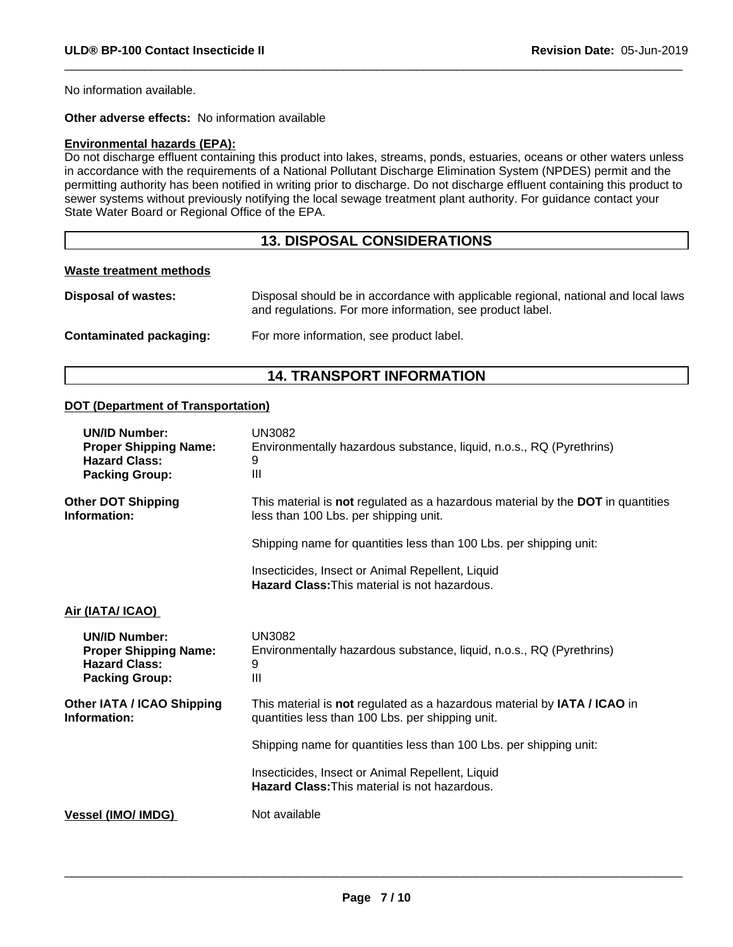No information available.

**Other adverse effects:** No information available

#### **Environmental hazards (EPA):**

Do not discharge effluent containing this product into lakes, streams, ponds, estuaries, oceans or other waters unless in accordance with the requirements of a National Pollutant Discharge Elimination System (NPDES) permit and the permitting authority has been notified in writing prior to discharge. Do not discharge effluent containing this product to sewer systems without previously notifying the local sewage treatment plant authority. For guidance contact your State Water Board or Regional Office of the EPA.

# **13. DISPOSAL CONSIDERATIONS**

### **Waste treatment methods**

| <b>Disposal of wastes:</b> | Disposal should be in accordance with applicable regional, national and local laws<br>and regulations. For more information, see product label. |
|----------------------------|-------------------------------------------------------------------------------------------------------------------------------------------------|
| Contaminated packaging:    | For more information, see product label.                                                                                                        |

# **14. TRANSPORT INFORMATION**

### **DOT (Department of Transportation)**

| <b>UN/ID Number:</b><br><b>Proper Shipping Name:</b><br><b>Hazard Class:</b><br><b>Packing Group:</b> | <b>UN3082</b><br>Environmentally hazardous substance, liquid, n.o.s., RQ (Pyrethrins)<br>9<br>$\mathbf{III}$                 |
|-------------------------------------------------------------------------------------------------------|------------------------------------------------------------------------------------------------------------------------------|
| <b>Other DOT Shipping</b><br>Information:                                                             | This material is not regulated as a hazardous material by the DOT in quantities<br>less than 100 Lbs. per shipping unit.     |
|                                                                                                       | Shipping name for quantities less than 100 Lbs. per shipping unit:                                                           |
|                                                                                                       | Insecticides, Insect or Animal Repellent, Liquid<br>Hazard Class: This material is not hazardous.                            |
| Air (IATA/ ICAO)                                                                                      |                                                                                                                              |
| <b>UN/ID Number:</b><br><b>Proper Shipping Name:</b><br><b>Hazard Class:</b><br><b>Packing Group:</b> | <b>UN3082</b><br>Environmentally hazardous substance, liquid, n.o.s., RQ (Pyrethrins)<br>9<br>$\mathbf{III}$                 |
| <b>Other IATA / ICAO Shipping</b><br>Information:                                                     | This material is not regulated as a hazardous material by IATA / ICAO in<br>quantities less than 100 Lbs. per shipping unit. |
|                                                                                                       | Shipping name for quantities less than 100 Lbs. per shipping unit:                                                           |
|                                                                                                       | Insecticides, Insect or Animal Repellent, Liquid<br><b>Hazard Class: This material is not hazardous.</b>                     |
| <b>Vessel (IMO/ IMDG)</b>                                                                             | Not available                                                                                                                |
|                                                                                                       |                                                                                                                              |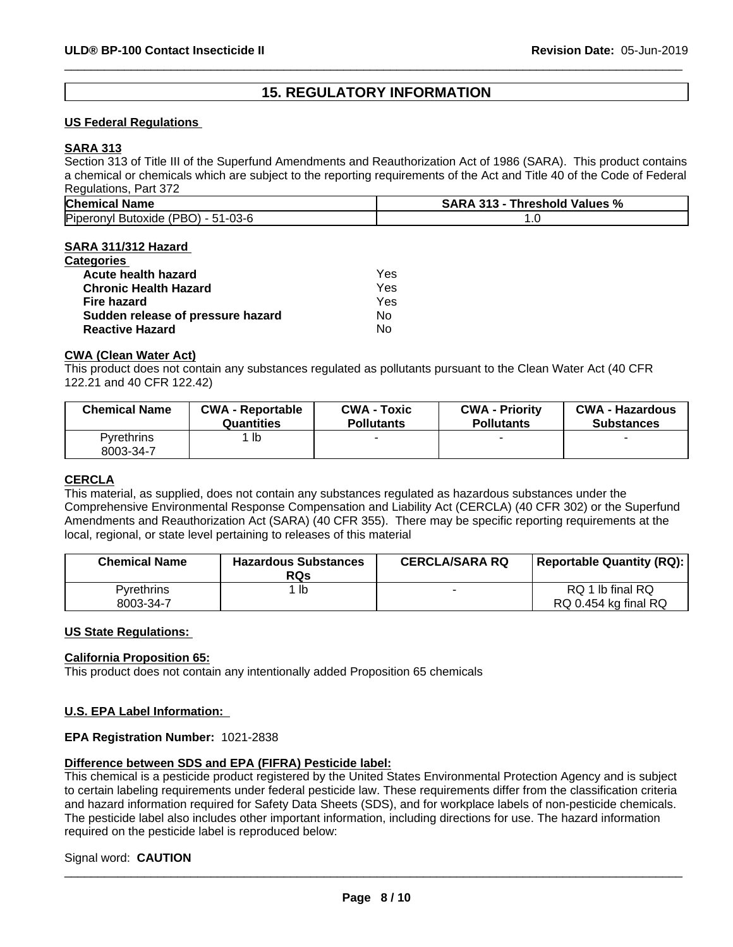# **15. REGULATORY INFORMATION**

### **US Federal Regulations**

### **SARA 313**

Section 313 of Title III of the Superfund Amendments and Reauthorization Act of 1986 (SARA). This product contains a chemical or chemicals which are subject to the reporting requirements of the Act and Title 40 of the Code of Federal Regulations, Part 372

| Chemical<br>$\overline{\phantom{a}}$<br>Name                         | %<br>24'<br><b>Values</b><br><b>nreshold</b><br>' בנ.<br>m |
|----------------------------------------------------------------------|------------------------------------------------------------|
| <b>PBO</b><br>Piperor<br>$\sim$<br>็วทิฟ Butoxide<br>·03-6<br>י− דר. | $\cdot\,$                                                  |

#### **SARA 311/312 Hazard**

| Categories                        |     |  |
|-----------------------------------|-----|--|
| Acute health hazard               | Yes |  |
| <b>Chronic Health Hazard</b>      | Yes |  |
| Fire hazard                       | Yes |  |
| Sudden release of pressure hazard | Nο  |  |
| <b>Reactive Hazard</b>            | No  |  |
|                                   |     |  |

#### **CWA (Clean Water Act)**

This product does not contain any substances regulated as pollutants pursuant to the Clean Water Act (40 CFR 122.21 and 40 CFR 122.42)

| ∣ lb       | <b>Chemical Name</b> | <b>CWA - Reportable</b> | <b>CWA - Toxic</b> | <b>CWA - Priority</b> | <b>CWA - Hazardous</b> |
|------------|----------------------|-------------------------|--------------------|-----------------------|------------------------|
| Pvrethrins |                      | Quantities              | <b>Pollutants</b>  | <b>Pollutants</b>     | <b>Substances</b>      |
|            | 8003-34-7            |                         |                    |                       |                        |

### **CERCLA**

This material, as supplied, does not contain any substances regulated as hazardous substances under the Comprehensive Environmental Response Compensation and Liability Act (CERCLA) (40 CFR 302) or the Superfund Amendments and Reauthorization Act (SARA) (40 CFR 355). There may be specific reporting requirements at the local, regional, or state level pertaining to releases of this material

| <b>Chemical Name</b>           | <b>Hazardous Substances</b><br><b>RQs</b> | <b>CERCLA/SARA RQ</b> | Reportable Quantity (RQ):                |
|--------------------------------|-------------------------------------------|-----------------------|------------------------------------------|
| <b>Pyrethrins</b><br>8003-34-7 | lb                                        |                       | RQ 1 lb final RQ<br>RQ 0.454 kg final RQ |

#### **US State Regulations:**

#### **California Proposition 65:**

This product does not contain any intentionally added Proposition 65 chemicals

#### **U.S. EPA Label Information:**

#### **EPA Registration Number:** 1021-2838

#### **Difference between SDS and EPA (FIFRA) Pesticide label:**

This chemical is a pesticide product registered by the United States Environmental Protection Agency and is subject to certain labeling requirements under federal pesticide law. These requirements differ from the classification criteria and hazard information required for Safety Data Sheets (SDS), and for workplace labels of non-pesticide chemicals. The pesticide label also includes other important information, including directions for use. The hazard information required on the pesticide label is reproduced below:

#### Signal word: **CAUTION**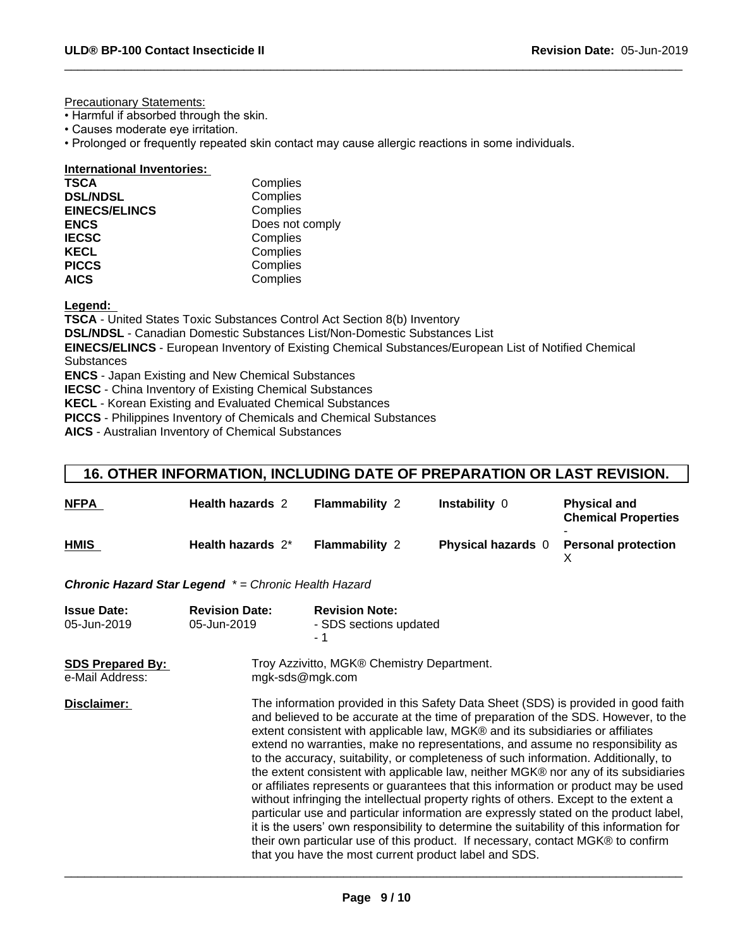Precautionary Statements:

- Harmful if absorbed through the skin.
- Causes moderate eye irritation.
- Prolonged or frequently repeated skin contact may cause allergic reactions in some individuals.

**International Inventories:**

| <b>TSCA</b>          | Complies        |
|----------------------|-----------------|
| <b>DSL/NDSL</b>      | Complies        |
| <b>EINECS/ELINCS</b> | Complies        |
| <b>ENCS</b>          | Does not comply |
| <b>IECSC</b>         | Complies        |
| <b>KECL</b>          | Complies        |
| <b>PICCS</b>         | Complies        |
| <b>AICS</b>          | Complies        |

**Legend:** 

**TSCA** - United States Toxic Substances Control Act Section 8(b) Inventory **DSL/NDSL** - Canadian Domestic Substances List/Non-Domestic Substances List **EINECS/ELINCS** - European Inventory of Existing Chemical Substances/European List of Notified Chemical **Substances ENCS** - Japan Existing and New Chemical Substances **IECSC** - China Inventory of Existing Chemical Substances **KECL** - Korean Existing and Evaluated Chemical Substances

**PICCS** - Philippines Inventory of Chemicals and Chemical Substances

**AICS** - Australian Inventory of Chemical Substances

# **16. OTHER INFORMATION, INCLUDING DATE OF PREPARATION OR LAST REVISION.**

| <b>NFPA</b> | Health hazards 2  | <b>Flammability 2</b> | Instability 0             | <b>Physical and</b><br><b>Chemical Properties</b> |
|-------------|-------------------|-----------------------|---------------------------|---------------------------------------------------|
| <b>HMIS</b> | Health hazards 2* | <b>Flammability 2</b> | <b>Physical hazards</b> 0 | <b>Personal protection</b>                        |

*Chronic Hazard Star Legend \* = Chronic Health Hazard*

| <b>Issue Date:</b><br>05-Jun-2019          | <b>Revision Date:</b><br>05-Jun-2019 | <b>Revision Note:</b><br>- SDS sections updated<br>- 1                                                                                                                                                                                                                                                                                                                                                                                                                                                                                                                                                                                                                                                                                                                                                                                                                                                                                                                                                                                     |
|--------------------------------------------|--------------------------------------|--------------------------------------------------------------------------------------------------------------------------------------------------------------------------------------------------------------------------------------------------------------------------------------------------------------------------------------------------------------------------------------------------------------------------------------------------------------------------------------------------------------------------------------------------------------------------------------------------------------------------------------------------------------------------------------------------------------------------------------------------------------------------------------------------------------------------------------------------------------------------------------------------------------------------------------------------------------------------------------------------------------------------------------------|
| <b>SDS Prepared By:</b><br>e-Mail Address: |                                      | Troy Azzivitto, MGK® Chemistry Department.<br>mgk-sds@mgk.com                                                                                                                                                                                                                                                                                                                                                                                                                                                                                                                                                                                                                                                                                                                                                                                                                                                                                                                                                                              |
| Disclaimer:                                |                                      | The information provided in this Safety Data Sheet (SDS) is provided in good faith<br>and believed to be accurate at the time of preparation of the SDS. However, to the<br>extent consistent with applicable law, MGK® and its subsidiaries or affiliates<br>extend no warranties, make no representations, and assume no responsibility as<br>to the accuracy, suitability, or completeness of such information. Additionally, to<br>the extent consistent with applicable law, neither MGK® nor any of its subsidiaries<br>or affiliates represents or guarantees that this information or product may be used<br>without infringing the intellectual property rights of others. Except to the extent a<br>particular use and particular information are expressly stated on the product label,<br>it is the users' own responsibility to determine the suitability of this information for<br>their own particular use of this product. If necessary, contact MGK® to confirm<br>that you have the most current product label and SDS. |